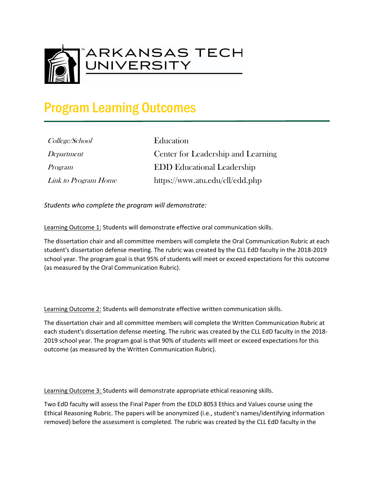

## Program Learning Outcomes

| College/School      |
|---------------------|
| Department          |
| Program             |
| Link to Program Hom |

Education Center for Leadership and Learning **EDD Educational Leadership**  $\ell_{\rm c}$  https://www.atu.edu/cll/edd.php

*Students who complete the program will demonstrate:*

Learning Outcome 1: Students will demonstrate effective oral communication skills.

The dissertation chair and all committee members will complete the Oral Communication Rubric at each student's dissertation defense meeting. The rubric was created by the CLL EdD faculty in the 2018-2019 school year. The program goal is that 95% of students will meet or exceed expectations for this outcome (as measured by the Oral Communication Rubric).

Learning Outcome 2: Students will demonstrate effective written communication skills.

The dissertation chair and all committee members will complete the Written Communication Rubric at each student's dissertation defense meeting. The rubric was created by the CLL EdD faculty in the 2018- 2019 school year. The program goal is that 90% of students will meet or exceed expectations for this outcome (as measured by the Written Communication Rubric).

Learning Outcome 3: Students will demonstrate appropriate ethical reasoning skills.

Two EdD faculty will assess the Final Paper from the EDLD 8053 Ethics and Values course using the Ethical Reasoning Rubric. The papers will be anonymized (i.e., student's names/identifying information removed) before the assessment is completed. The rubric was created by the CLL EdD faculty in the